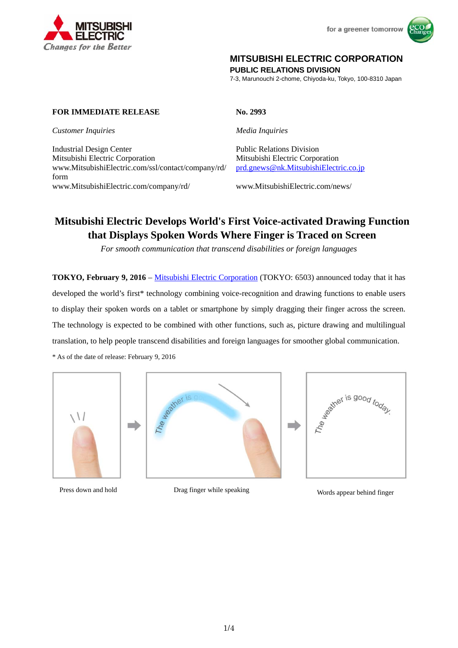



# **MITSUBISHI ELECTRIC CORPORATION**

**PUBLIC RELATIONS DIVISION** 

7-3, Marunouchi 2-chome, Chiyoda-ku, Tokyo, 100-8310 Japan

# **FOR IMMEDIATE RELEASE No. 2993**

*Customer Inquiries Media Inquiries*

Industrial Design Center Public Relations Division Mitsubishi Electric Corporation Mitsubishi Electric Corporation www.MitsubishiElectric.com/ssl/contact/company/rd/ form www.MitsubishiElectric.com/company/rd/ www.MitsubishiElectric.com/news/

prd.gnews@nk.MitsubishiElectric.co.jp

# **Mitsubishi Electric Develops World's First Voice-activated Drawing Function that Displays Spoken Words Where Finger is Traced on Screen**

*For smooth communication that transcend disabilities or foreign languages*

**TOKYO, February 9, 2016** – Mitsubishi Electric Corporation (TOKYO: 6503) announced today that it has developed the world's first\* technology combining voice-recognition and drawing functions to enable users to display their spoken words on a tablet or smartphone by simply dragging their finger across the screen. The technology is expected to be combined with other functions, such as, picture drawing and multilingual translation, to help people transcend disabilities and foreign languages for smoother global communication.

\* As of the date of release: February 9, 2016







Press down and hold Drag finger while speaking Words appear behind finger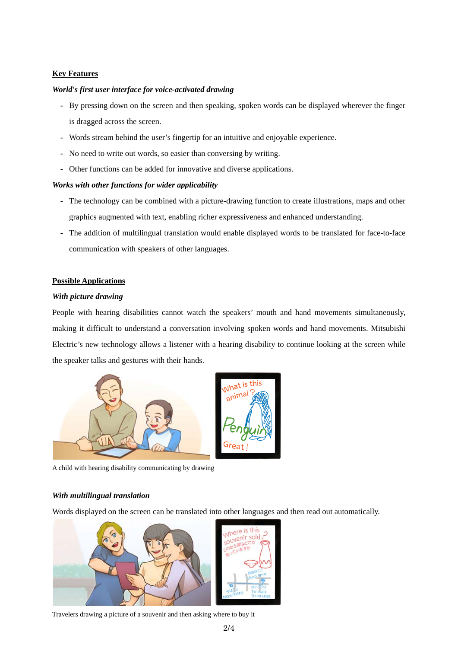# **Key Features**

#### *World's first user interface for voice-activated drawing*

- **-** By pressing down on the screen and then speaking, spoken words can be displayed wherever the finger is dragged across the screen.
- **-** Words stream behind the user's fingertip for an intuitive and enjoyable experience.
- **-** No need to write out words, so easier than conversing by writing.
- **-** Other functions can be added for innovative and diverse applications.

#### *Works with other functions for wider applicability*

- **-** The technology can be combined with a picture-drawing function to create illustrations, maps and other graphics augmented with text, enabling richer expressiveness and enhanced understanding.
- **-** The addition of multilingual translation would enable displayed words to be translated for face-to-face communication with speakers of other languages.

#### **Possible Applications**

#### *With picture drawing*

People with hearing disabilities cannot watch the speakers' mouth and hand movements simultaneously, making it difficult to understand a conversation involving spoken words and hand movements. Mitsubishi Electric's new technology allows a listener with a hearing disability to continue looking at the screen while the speaker talks and gestures with their hands.



A child with hearing disability communicating by drawing

#### *With multilingual translation*

Words displayed on the screen can be translated into other languages and then read out automatically.



Travelers drawing a picture of a souvenir and then asking where to buy it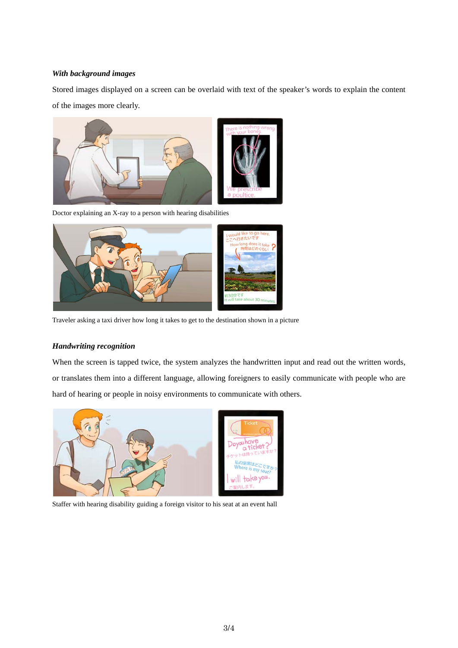### *With background images*

Stored images displayed on a screen can be overlaid with text of the speaker's words to explain the content of the images more clearly.



Doctor explaining an X-ray to a person with hearing disabilities



Traveler asking a taxi driver how long it takes to get to the destination shown in a picture

# *Handwriting recognition*

When the screen is tapped twice, the system analyzes the handwritten input and read out the written words, or translates them into a different language, allowing foreigners to easily communicate with people who are hard of hearing or people in noisy environments to communicate with others.



Staffer with hearing disability guiding a foreign visitor to his seat at an event hall